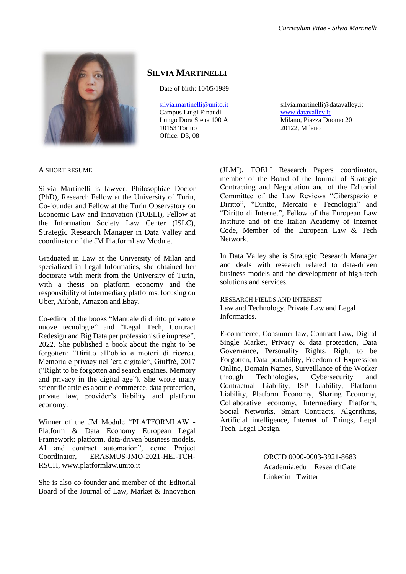

# **SILVIA MARTINELLI**

Date of birth: 10/05/1989

[silvia.martinelli@unito.it](mailto:silvia.martinelli@unito.it) Campus Luigi Einaudi Lungo Dora Siena 100 A 10153 Torino Office: D3, 08

silvia.martinelli@datavalley.it [www.datavalley.it](http://www.datavalley.it/)  Milano, Piazza Duomo 20 20122, Milano

A SHORT RESUME

Silvia Martinelli is lawyer, Philosophiae Doctor (PhD), Research Fellow at the University of Turin, Co-founder and Fellow at the [Turin Observatory on](https://osservatori.iuse.it/toeli/)  [Economic Law and Innovation \(TOELI\),](https://osservatori.iuse.it/toeli/) Fellow at the Information Society Law Center (ISLC), Strategic Research Manager in [Data Valley](http://www.datavalley.it/) and coordinator of the [JM PlatformLaw Module.](http://www.platformlaw.unito.it/)

Graduated in Law at the University of Milan and specialized in Legal Informatics, she obtained her doctorate with merit from the University of Turin, with a thesis on platform economy and the responsibility of intermediary platforms, focusing on Uber, Airbnb, Amazon and Ebay.

Co-editor of the books ["Manuale di diritto privato e](https://www.giappichelli.it/manuale-di-diritto-privato-delle-nuove-tecnologie)  [nuove tecnologie"](https://www.giappichelli.it/manuale-di-diritto-privato-delle-nuove-tecnologie) and ["Legal Tech, Contract](https://shop.wki.it/offerta/legal-tech-contract-re-design-big-data-per-professionisti-e-imprese-s754534/)  [Redesign and Big Data per professionisti e imprese"](https://shop.wki.it/offerta/legal-tech-contract-re-design-big-data-per-professionisti-e-imprese-s754534/), 2022. She published a book about the right to be forgotten: ["Diritto all'oblio e motori di ricerca.](https://shop.giuffre.it/catalog/product/view/id/77001/)  [Memoria e privacy nell'era digitale"](https://shop.giuffre.it/catalog/product/view/id/77001/), Giuffrè, 2017 ("Right to be forgotten and search engines. Memory and privacy in the digital age"). She wrote many scientific articles about e-commerce, data protection, private law, provider's liability and platform economy.

Winner of the JM Module "PLATFORMLAW - Platform & Data Economy European Legal Framework: platform, data-driven business models, AI and contract automation", come Project Coordinator, ERASMUS-JMO-2021-HEI-TCH-RSCH, [www.platformlaw.unito.it](http://www.platformlaw.unito.it/)

She is also co-founder and member of the Editorial Board of the [Journal of Law, Market & Innovation](https://www.ojs.unito.it/index.php/JLMI/about) 

[\(JLMI\),](https://www.ojs.unito.it/index.php/JLMI/about) [TOELI Research Papers coordinator,](https://osservatori.iuse.it/toeli/research-papers/) member of the Board of the Journal of Strategic Contracting and Negotiation and of the Editorial Committee of the Law Reviews ["Ciberspazio e](https://www.mucchieditore.it/index.php?option=com_virtuemart&view=productdetails&virtuemart_product_id=162&virtuemart_category_id=23&Itemid=127)  [Diritto"](https://www.mucchieditore.it/index.php?option=com_virtuemart&view=productdetails&virtuemart_product_id=162&virtuemart_category_id=23&Itemid=127), ["Diritto, Mercato e Tecnologia"](https://www.dimt.it/index.php/it/) and ["Diritto di Internet"](http://www.pacinieditore.it/periodici/periodici-giuridica-periodici/), Fellow of the [European Law](https://www.europeanlawinstitute.eu/)  [Institute](https://www.europeanlawinstitute.eu/) and of the [Italian Academy of Internet](http://www.iaic.it/index.php/it/)  [Code,](http://www.iaic.it/index.php/it/) Member of the [European Law & Tech](http://europeanlawtech.eu/)  [Network.](http://europeanlawtech.eu/)

In Data Valley she is Strategic Research Manager and deals with research related to data-driven business models and the development of high-tech solutions and services.

RESEARCH FIELDS AND INTEREST Law and Technology. Private Law and Legal Informatics.

E-commerce, Consumer law, Contract Law, Digital Single Market, Privacy & data protection, Data Governance, Personality Rights, Right to be Forgotten, Data portability, Freedom of Expression Online, Domain Names, Surveillance of the Worker through Technologies, Cybersecurity and Contractual Liability, ISP Liability, Platform Liability, Platform Economy, Sharing Economy, Collaborative economy, Intermediary Platform, Social Networks, Smart Contracts, Algorithms, Artificial intelligence, Internet of Things, Legal Tech, Legal Design.

> [ORCID 0000-0003-3921-8683](http://orcid.org/0000-0003-3921-8683)  [Academia.edu](https://unito.academia.edu/SilviaMartinelli) [ResearchGate](https://www.researchgate.net/profile/Silvia_Martinelli5)  [Linkedin](https://www.linkedin.com/in/silviamartinelli89/) [Twitter](https://twitter.com/Silvia_Mar_)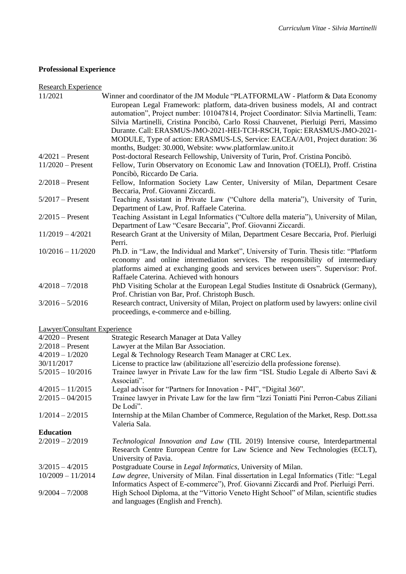# **Professional Experience**

# Research Experience

| 11/2021                      | Winner and coordinator of the JM Module "PLATFORMLAW - Platform & Data Economy                     |
|------------------------------|----------------------------------------------------------------------------------------------------|
|                              | European Legal Framework: platform, data-driven business models, AI and contract                   |
|                              | automation", Project number: 101047814, Project Coordinator: Silvia Martinelli, Team:              |
|                              | Silvia Martinelli, Cristina Poncibò, Carlo Rossi Chauvenet, Pierluigi Perri, Massimo               |
|                              | Durante. Call: ERASMUS-JMO-2021-HEI-TCH-RSCH, Topic: ERASMUS-JMO-2021-                             |
|                              | MODULE, Type of action: ERASMUS-LS, Service: EACEA/A/01, Project duration: 36                      |
|                              | months, Budget: 30.000, Website: www.platformlaw.unito.it                                          |
| $4/2021$ – Present           | Post-doctoral Research Fellowship, University of Turin, Prof. Cristina Poncibò.                    |
| $11/2020$ – Present          | Fellow, Turin Observatory on Economic Law and Innovation (TOELI), Proff. Cristina                  |
|                              | Poncibò, Riccardo De Caria.                                                                        |
| $2/2018$ – Present           | Fellow, Information Society Law Center, University of Milan, Department Cesare                     |
|                              | Beccaria, Prof. Giovanni Ziccardi.                                                                 |
| $5/2017$ – Present           | Teaching Assistant in Private Law ("Cultore della materia"), University of Turin,                  |
|                              | Department of Law, Prof. Raffaele Caterina.                                                        |
| $2/2015$ – Present           | Teaching Assistant in Legal Informatics ("Cultore della materia"), University of Milan,            |
|                              | Department of Law "Cesare Beccaria", Prof. Giovanni Ziccardi.                                      |
| $11/2019 - 4/2021$           | Research Grant at the University of Milan, Department Cesare Beccaria, Prof. Pierluigi             |
|                              | Perri.                                                                                             |
| $10/2016 - 11/2020$          | Ph.D. in "Law, the Individual and Market", University of Turin. Thesis title: "Platform            |
|                              | economy and online intermediation services. The responsibility of intermediary                     |
|                              | platforms aimed at exchanging goods and services between users". Supervisor: Prof.                 |
|                              | Raffaele Caterina. Achieved with honours                                                           |
| $4/2018 - 7/2018$            | PhD Visiting Scholar at the European Legal Studies Institute di Osnabrück (Germany),               |
|                              | Prof. Christian von Bar, Prof. Christoph Busch.                                                    |
| $3/2016 - 5/2016$            | Research contract, University of Milan, Project on platform used by lawyers: online civil          |
|                              | proceedings, e-commerce and e-billing.                                                             |
| Lawyer/Consultant Experience |                                                                                                    |
| $4/2020$ – Present           | Strategic Research Manager at Data Valley                                                          |
| $2/2018$ – Present           | Lawyer at the Milan Bar Association.                                                               |
| $4/2019 - 1/2020$            | Legal & Technology Research Team Manager at CRC Lex.                                               |
|                              |                                                                                                    |
| 30/11/2017                   | License to practice law (abilitazione all'esercizio della professione forense).                    |
| $5/2015 - 10/2016$           | Trainee lawyer in Private Law for the law firm "ISL Studio Legale di Alberto Savi &<br>Associati". |
| $4/2015 - 11/2015$           | Legal advisor for "Partners for Innovation - P4I", "Digital 360".                                  |
| $2/2015 - 04/2015$           | Trainee lawyer in Private Law for the law firm "Izzi Toniatti Pini Perron-Cabus Ziliani            |
|                              | De Lodi".                                                                                          |
| $1/2014 - 2/2015$            | Internship at the Milan Chamber of Commerce, Regulation of the Market, Resp. Dott.ssa              |
|                              | Valeria Sala.                                                                                      |
| <b>Education</b>             |                                                                                                    |
| $2/2019 - 2/2019$            | Technological Innovation and Law (TIL 2019) Intensive course, Interdepartmental                    |
|                              | Research Centre European Centre for Law Science and New Technologies (ECLT),                       |
|                              | University of Pavia.                                                                               |
| $3/2015 - 4/2015$            | Postgraduate Course in Legal Informatics, University of Milan.                                     |
| $10/2009 - 11/2014$          | Law degree, University of Milan. Final dissertation in Legal Informatics (Title: "Legal            |
|                              | Informatics Aspect of E-commerce"), Prof. Giovanni Ziccardi and Prof. Pierluigi Perri.             |
| $9/2004 - 7/2008$            | High School Diploma, at the "Vittorio Veneto Hight School" of Milan, scientific studies            |
|                              | and languages (English and French).                                                                |
|                              |                                                                                                    |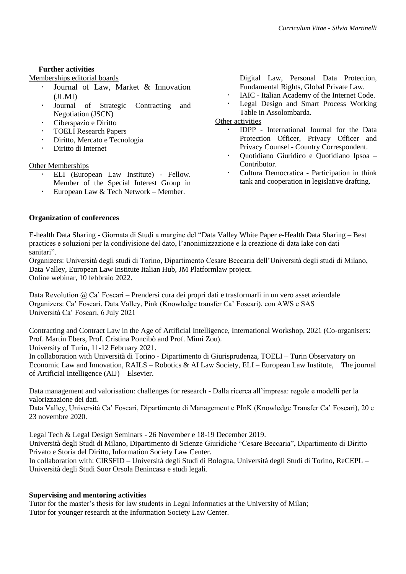# **Further activities**

Memberships editorial boards

- [Journal of Law, Market & Innovation](https://www.ojs.unito.it/index.php/JLMI/index)  [\(JLMI\)](https://www.ojs.unito.it/index.php/JLMI/index)
- [Journal of Strategic Contracting and](https://journals.sagepub.com/editorial-board/JSC)  [Negotiation](https://journals.sagepub.com/editorial-board/JSC) (JSCN)
- Ciberspazio e Diritto
- [TOELI Research Papers](https://osservatori.iuse.it/toeli/research-papers/)
- Diritto, Mercato e Tecnologia
- Diritto di Internet

# Other Memberships

- ELI (European Law Institute) Fellow. Member of the Special Interest Group in
- European Law & Tech Network Member.

Digital Law, Personal Data Protection, Fundamental Rights, Global Private Law.

- IAIC Italian Academy of the Internet Code.
- [Legal Design and Smart Process Working](https://www.assolombarda.it/servizi/legale/informazioni/legal-design-e-smart-processes)  [Table in Assolombarda.](https://www.assolombarda.it/servizi/legale/informazioni/legal-design-e-smart-processes)

## Other activities

- IDPP International Journal for the Data Protection Officer, Privacy Officer and Privacy Counsel - Country Correspondent.
- Quotidiano Giuridico e Quotidiano Ipsoa Contributor.
- Cultura Democratica Participation in think tank and cooperation in legislative drafting.

# **Organization of conferences**

E-health Data Sharing - Giornata di Studi a margine del ["Data Valley White Paper e-Health Data Sharing –](file:///G:/Il%20mio%20Drive/Silvia%20Drive%20Unito/Documenti/2021-2022/CV/Giornata%20di%20Studi%20a%20margine%20del%20“Data%20Valley%20White%20Paper%20e-Health%20Data%20Sharing%20–%20Best%20practices%20e) Best [practices e soluzioni per la condivisione del dato, l'anonimizzazione e la creazione di data lake con dati](file:///G:/Il%20mio%20Drive/Silvia%20Drive%20Unito/Documenti/2021-2022/CV/Giornata%20di%20Studi%20a%20margine%20del%20“Data%20Valley%20White%20Paper%20e-Health%20Data%20Sharing%20–%20Best%20practices%20e) [sanitari"](file:///G:/Il%20mio%20Drive/Silvia%20Drive%20Unito/Documenti/2021-2022/CV/Giornata%20di%20Studi%20a%20margine%20del%20“Data%20Valley%20White%20Paper%20e-Health%20Data%20Sharing%20–%20Best%20practices%20e).

[Organizers: Università degli studi di Torino, Dipartimento Cesare Beccaria dell'Università degli studi di Milano,](https://osservatori.iuse.it/toeli/2022/01/28/white-paper-e-health-data-sharing-best-practices-and-solutions-for-data-sharing-anonymization-and-creation-of-data-lake-with-health-data/)  [Data Valley, European Law Institute Italian Hub, JM Platformlaw project.](https://osservatori.iuse.it/toeli/2022/01/28/white-paper-e-health-data-sharing-best-practices-and-solutions-for-data-sharing-anonymization-and-creation-of-data-lake-with-health-data/)  [Online webinar, 10 febbraio 2022.](https://osservatori.iuse.it/toeli/2022/01/28/white-paper-e-health-data-sharing-best-practices-and-solutions-for-data-sharing-anonymization-and-creation-of-data-lake-with-health-data/)

Data Revolution @ Ca' Foscari – [Prendersi cura dei propri dati e trasformarli in un vero asset aziendale](https://www.unive.it/data/agenda/1/51154) [Organizers: Ca' Foscari, Data Valley, Pink \(Knowledge transfer Ca' Foscari\), con AWS e SAS](https://www.unive.it/data/agenda/1/51154) [Università Ca' Foscari, 6 July 2021](https://www.unive.it/data/agenda/1/51154)

[Contracting and Contract Law in the Age of Artificial Intelligence, International Workshop, 2021 \(Co-organisers:](https://www.dg.unito.it/do/avvisi.pl/Show?_id=jduz)  [Prof. Martin Ebers, Prof. Cristina Poncibò and Prof. Mimi Zou\).](https://www.dg.unito.it/do/avvisi.pl/Show?_id=jduz)

[University of Turin, 11-12 February 2021.](https://www.dg.unito.it/do/avvisi.pl/Show?_id=jduz) 

In collaboration with Università di Torino - Dipartimento di Giurisprudenza, TOELI – Turin Observatory on Economic Law and Innovation, RAILS – Robotics & AI Law Society, ELI – European Law Institute, The journal of Artificial Intelligence (AIJ) – Elsevier.

[Data management and valorisation: challenges for research -](https://www.data-valley.it/2020/12/03/data-management-and-valorisation-challenges-for-research/) Dalla ricerca all'impresa: regole e modelli per la [valorizzazione dei dati.](https://www.data-valley.it/2020/12/03/data-management-and-valorisation-challenges-for-research/)

Data Valley, Università Ca' [Foscari, Dipartimento di Management e PInK \(Knowledge Transfer Ca' Foscari\), 20 e](https://www.data-valley.it/2020/12/03/data-management-and-valorisation-challenges-for-research/)  [23 novembre 2020.](https://www.data-valley.it/2020/12/03/data-management-and-valorisation-challenges-for-research/)

[Legal Tech & Legal Design Seminars -](https://silviamartinellilaw.com/2019/11/24/lwgal-tech-legal-design-seminars/) 26 November e 18-19 December 2019.

Università degli Studi di Milano, Dipartimento di Scienze Giuridiche "Cesare Beccaria", Dipartimento di Diritto Privato e Storia del Diritto, Information Society Law Center.

In collaboration with: CIRSFID – Università degli Studi di Bologna, Università degli Studi di Torino, ReCEPL – Università degli Studi Suor Orsola Benincasa e studi legali.

# **Supervising and mentoring activities**

Tutor for the master's thesis for law students in Legal Informatics at the University of Milan; Tutor for younger research at the Information Society Law Center.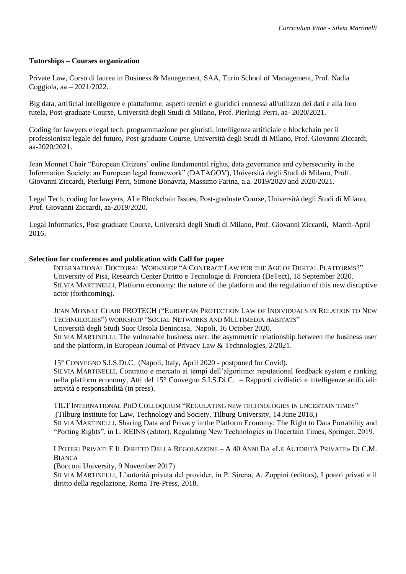### **Tutorships – Courses organization**

Private Law, Corso di laurea in Business & Management, SAA, Turin School of Management, Prof. Nadia Coggiola, aa – 2021/2022.

[Big data, artificial intelligence e piattaforme. aspetti tecnici e giuridici connessi all'utilizzo dei dati e alla loro](https://www.unimi.it/it/corsi/corsi-post-laurea/master-e-perfezionamento/catalogo-corsi-di-perfezionamento/aa-2020/2021-big-data-artificial-intelligence-e-piattaforme-aspetti-tecnici-e-giuridici-connessi-allutilizzo-dei)  [tutela, Post-graduate Course, Università degli Studi di Milano, Prof. Pierluigi Perri, aa-](https://www.unimi.it/it/corsi/corsi-post-laurea/master-e-perfezionamento/catalogo-corsi-di-perfezionamento/aa-2020/2021-big-data-artificial-intelligence-e-piattaforme-aspetti-tecnici-e-giuridici-connessi-allutilizzo-dei) 2020/2021.

Coding for lawyers e legal [tech. programmazione per giuristi, intelligenza artificiale e blockchain per il](https://www.unimi.it/it/corsi/corsi-post-laurea/master-e-perfezionamento/catalogo-corsi-di-perfezionamento/aa-2020/2021-coding-lawyers-e-legal-tech-programmazione-giuristi-intelligenza-artificiale-e-blockchain-il)  professionista legale del futuro, [Post-graduate Course, Università degli Studi di Milano, Prof. Giovanni Ziccardi,](https://www.unimi.it/it/corsi/corsi-post-laurea/master-e-perfezionamento/catalogo-corsi-di-perfezionamento/aa-2020/2021-coding-lawyers-e-legal-tech-programmazione-giuristi-intelligenza-artificiale-e-blockchain-il)   $a^2 - 2020/2021$ .

[Jean Monnet Chair "European Citizens' online fundamental rights, data governance and cybersecurity in the](https://sites.unimi.it/eudatagov/)  [Information Society: an European legal framework" \(DATAGOV\)](https://sites.unimi.it/eudatagov/), Università degli Studi di Milano, Proff. Giovanni Ziccardi, Pierluigi Perri, Simone Bonavita, Massimo Farina, a.a. 2019/2020 and 2020/2021.

[Legal Tech, coding for lawyers, AI e Blockchain Issues, Post-graduate Course, Università degli Studi di Milano,](https://www.unimi.it/it/corsi/corsi-post-laurea/master-e-perfezionamento/catalogo-corsi-di-perfezionamento/aa-2019/2020-legal-tech-coding-lawyers-artificial-intelligence-and-blockchain-legal-issues-decostruire-e)  [Prof. Giovanni Ziccardi, aa-2019/2020.](https://www.unimi.it/it/corsi/corsi-post-laurea/master-e-perfezionamento/catalogo-corsi-di-perfezionamento/aa-2019/2020-legal-tech-coding-lawyers-artificial-intelligence-and-blockchain-legal-issues-decostruire-e)

[Legal Informatics,](http://www.informaticagiuridica.unimi.it/) Post-graduate Course, Università degli Studi di Milano, Prof. Giovanni Ziccardi, March-April 2016.

### **Selection for conferences and publication with Call for paper**

I[NTERNATIONAL](https://www.google.com/url?sa=t&rct=j&q=&esrc=s&source=web&cd=&cad=rja&uact=8&ved=2ahUKEwiku_e44OPrAhVNqaQKHcHIBqsQFjAAegQIARAB&url=https%3A%2F%2Fwww.civilistiitaliani.eu%2Finiziative%2Fnotizie%2F711-call-for-papers-a-contract-law-for-the-age-of-digital-platforms&usg=AOvVaw3sXi4qf89zNkQntihhSbUE) DOCTORAL WORKSHOP "A CONTRACT LAW FOR THE AGE OF DIGITAL PLATFORMS?" [University of Pisa, Research Center Diritto e Tecnologie di Frontiera \(DeTect\), 18 September 2020.](https://www.google.com/url?sa=t&rct=j&q=&esrc=s&source=web&cd=&cad=rja&uact=8&ved=2ahUKEwiku_e44OPrAhVNqaQKHcHIBqsQFjAAegQIARAB&url=https%3A%2F%2Fwww.civilistiitaliani.eu%2Finiziative%2Fnotizie%2F711-call-for-papers-a-contract-law-for-the-age-of-digital-platforms&usg=AOvVaw3sXi4qf89zNkQntihhSbUE) SILVIA MARTINELLI, [Platform economy: the nature of the platform and the regulation of this new disruptive](https://www.google.com/url?sa=t&rct=j&q=&esrc=s&source=web&cd=&cad=rja&uact=8&ved=2ahUKEwiku_e44OPrAhVNqaQKHcHIBqsQFjAAegQIARAB&url=https%3A%2F%2Fwww.civilistiitaliani.eu%2Finiziative%2Fnotizie%2F711-call-for-papers-a-contract-law-for-the-age-of-digital-platforms&usg=AOvVaw3sXi4qf89zNkQntihhSbUE)  [actor \(forthcoming\).](https://www.google.com/url?sa=t&rct=j&q=&esrc=s&source=web&cd=&cad=rja&uact=8&ved=2ahUKEwiku_e44OPrAhVNqaQKHcHIBqsQFjAAegQIARAB&url=https%3A%2F%2Fwww.civilistiitaliani.eu%2Finiziative%2Fnotizie%2F711-call-for-papers-a-contract-law-for-the-age-of-digital-platforms&usg=AOvVaw3sXi4qf89zNkQntihhSbUE)

JEAN MONNET CHAIR PROTECH ("EUROPEAN PROTECTION LAW OF I[NDIVIDUALS IN](https://www.google.com/url?sa=t&rct=j&q=&esrc=s&source=web&cd=&cad=rja&uact=8&ved=2ahUKEwiS54X04OPrAhXEjqQKHdPJCT8QFjACegQIBxAB&url=https%3A%2F%2Fwww.protech-jeanmonnet.eu%2Fcall-for-papers%2F&usg=AOvVaw24cxFm_fbvlvCHDtuftlvs) RELATION TO NEW TECHNOLOGIES") WORKSHOP "SOCIAL NETWORKS AND M[ULTIMEDIA HABITATS](https://www.google.com/url?sa=t&rct=j&q=&esrc=s&source=web&cd=&cad=rja&uact=8&ved=2ahUKEwiS54X04OPrAhXEjqQKHdPJCT8QFjACegQIBxAB&url=https%3A%2F%2Fwww.protech-jeanmonnet.eu%2Fcall-for-papers%2F&usg=AOvVaw24cxFm_fbvlvCHDtuftlvs)" [Università degli Studi Suor Orsola Benincasa,](https://www.google.com/url?sa=t&rct=j&q=&esrc=s&source=web&cd=&cad=rja&uact=8&ved=2ahUKEwiS54X04OPrAhXEjqQKHdPJCT8QFjACegQIBxAB&url=https%3A%2F%2Fwww.protech-jeanmonnet.eu%2Fcall-for-papers%2F&usg=AOvVaw24cxFm_fbvlvCHDtuftlvs) Napoli, 16 October 2020. SILVIA MARTINELLI, [The vulnerable business user: the asymmetric relationship between the business user](https://www.google.com/url?sa=t&rct=j&q=&esrc=s&source=web&cd=&cad=rja&uact=8&ved=2ahUKEwiS54X04OPrAhXEjqQKHdPJCT8QFjACegQIBxAB&url=https%3A%2F%2Fwww.protech-jeanmonnet.eu%2Fcall-for-papers%2F&usg=AOvVaw24cxFm_fbvlvCHDtuftlvs)  [and the platform,](https://www.google.com/url?sa=t&rct=j&q=&esrc=s&source=web&cd=&cad=rja&uact=8&ved=2ahUKEwiS54X04OPrAhXEjqQKHdPJCT8QFjACegQIBxAB&url=https%3A%2F%2Fwww.protech-jeanmonnet.eu%2Fcall-for-papers%2F&usg=AOvVaw24cxFm_fbvlvCHDtuftlvs) in European Journal of Privacy Law & Technologies, 2/2021.

15° CONVEGNO S.I.S.DI.C. (Napoli, Italy, April 2020 - postponed for Covid). SILVIA MARTINELLI, Contratto e mercato ai tempi dell'algoritmo: reputational feedback system e ranking nella platform economy, Atti del 15° Convegno S.I.S.Di.C. – Rapporti civilistici e intelligenze artificiali: attività e responsabilità (in press).

TILT INTERNATIONAL PHD COLLOQUIUM "R[EGULATING NEW TECHNOLOGIES IN UNCERTAIN TIMES](https://www.tilburguniversity.edu/current/events/show/event-international-phd-colloquium-tilt/)" [\(Tilburg Institute for Law, Technology and Society, Tilburg University, 14 June 2018,\)](https://www.tilburguniversity.edu/current/events/show/event-international-phd-colloquium-tilt/) SILVIA MARTINELLI, [Sharing Data and Privacy in the Platform Economy: The Right to Data Portability and](https://www.springer.com/us/book/9789462652781)  ["Porting Rights", in L. REINS \(editor\), Regulating New Technologies in Uncertain Times, Springer, 2019.](https://www.springer.com/us/book/9789462652781)

I POTERI PRIVATI E IL DIRITTO DELLA R[EGOLAZIONE](https://www.unibocconi.it/wps/wcm/connect/ev/Eventi/Eventi+Bocconi/I+POTERI+PRIVATI+E+IL+DIRITTO+DELLA+REGOLAZIONE) – A 40 ANNI DA «LE AUTORITÀ PRIVATE» DI C.M. B[IANCA](https://www.unibocconi.it/wps/wcm/connect/ev/Eventi/Eventi+Bocconi/I+POTERI+PRIVATI+E+IL+DIRITTO+DELLA+REGOLAZIONE)

[\(Bocconi University, 9 November 2017\)](https://www.unibocconi.it/wps/wcm/connect/ev/Eventi/Eventi+Bocconi/I+POTERI+PRIVATI+E+IL+DIRITTO+DELLA+REGOLAZIONE)

SILVIA MARTINELLI[, L'autorità privata del provider, in P. Sirena, A. Zoppini \(editors\), I poteri privati e il](http://romatrepress.uniroma3.it/ojs/index.php/poteri)  [diritto della regolazione, Roma Tre-Press, 2018.](http://romatrepress.uniroma3.it/ojs/index.php/poteri)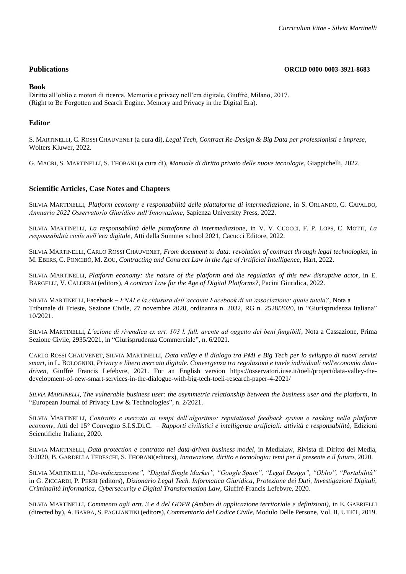#### **Publications ORCID 0000-0003-3921-8683**

#### **Book**

[Diritto all'oblio e motori di ricerca. Memoria e privacy nell'era digitale, Giuffrè, Milano, 2017.](https://shop.giuffre.it/catalog/product/view/id/77001/) (Right to Be Forgotten and Search Engine. Memory and Privacy in the Digital Era).

### **Editor**

S. MARTINELLI, C. ROSSI CHAUVENET (a cura di), *Legal Tech, Contract [Re-Design & Big Data per professionisti e imprese](https://shop.wki.it/offerta/legal-tech-contract-re-design-big-data-per-professionisti-e-imprese-s754534/)*, [Wolters Kluwer, 2022.](https://shop.wki.it/offerta/legal-tech-contract-re-design-big-data-per-professionisti-e-imprese-s754534/)

G. MAGRI, S. MARTINELLI, S. THOBANI (a cura di), *[Manuale di diritto privato delle nuove tecnologie](https://www.giappichelli.it/manuale-di-diritto-privato-delle-nuove-tecnologie)*, Giappichelli, 2022.

### **Scientific Articles, Case Notes and Chapters**

SILVIA MARTINELLI, *Platform economy e responsabilità delle piattaforme di intermediazione*, in S. ORLANDO, G. CAPALDO, *Annuario 2022 Osservatorio Giuridico sull'Innovazione*, Sapienza University Press, 2022.

SILVIA MARTINELLI, *La responsabilità delle piattaforme di intermediazione*, in V. V. CUOCCI, F. P. LOPS, C. MOTTI, *La responsabilità civile nell'era digitale*, Atti della Summer school 2021, Cacucci Editore, 2022.

SILVIA MARTINELLI, CARLO ROSSI CHAUVENET, *[From document to data: revolution of contract through legal technologies,](https://l.facebook.com/l.php?u=https%3A%2F%2Fwww.bloomsbury.com%2Fuk%2Fcontracting-and-contract-law-in-the-age-of-artificial-intelligence-9781509950683%2F%3Ffbclid%3DIwAR3CIEtnNZ-2MOYNT6PeZiaUJfqFzCkU-2PKYRdr0pN295I6e08NV6Z8D-I&h=AT3dJYXEPRYtU58IE7nX0gs0_bRIxVZD0bemF6qAROjwi_ZdFVz3yByqPaBUIuNGm3W0W3-QzVLzuSw6AJYkiB4zKaUESNbkgQRSRoRhIGcW3jAdzoF9YxnuL_LdGlMG5Rdel4y9Y7nlhCS2wA&__tn__=-UK-R&c%5b0%5d=AT0Qvali2Dx-j1QGiqypbrGuHaVhZyNLle7laD-JfEpEvaN7CCkYmotUiyQuofLFB2WbgnNqVySsjDEOWWaH9JVBsh-v1yMGPfsQOSQML7WBxYlEf2YCWlDRDMOw7zGbfAdUyobVqb7PslPCVLdb4RDiEBE)* in M. EBERS, C. PONCIBÒ, M. ZOU, *[Contracting and Contract Law in the Age of Artificial Intelligence](https://l.facebook.com/l.php?u=https%3A%2F%2Fwww.bloomsbury.com%2Fuk%2Fcontracting-and-contract-law-in-the-age-of-artificial-intelligence-9781509950683%2F%3Ffbclid%3DIwAR3CIEtnNZ-2MOYNT6PeZiaUJfqFzCkU-2PKYRdr0pN295I6e08NV6Z8D-I&h=AT3dJYXEPRYtU58IE7nX0gs0_bRIxVZD0bemF6qAROjwi_ZdFVz3yByqPaBUIuNGm3W0W3-QzVLzuSw6AJYkiB4zKaUESNbkgQRSRoRhIGcW3jAdzoF9YxnuL_LdGlMG5Rdel4y9Y7nlhCS2wA&__tn__=-UK-R&c%5b0%5d=AT0Qvali2Dx-j1QGiqypbrGuHaVhZyNLle7laD-JfEpEvaN7CCkYmotUiyQuofLFB2WbgnNqVySsjDEOWWaH9JVBsh-v1yMGPfsQOSQML7WBxYlEf2YCWlDRDMOw7zGbfAdUyobVqb7PslPCVLdb4RDiEBE)*, Hart, 2022.

SILVIA MARTINELLI, *[Platform economy: the nature of the platform and the regulation of this new disruptive actor](https://www.pacinieditore.it/prodotto/contract-law-age-digital-platforms/?fbclid=IwAR33G-RjzE_bTa42watKqTyDfTbaKoKcE4is7wvAZcyT8kdVdmflkZidFKA)*, in E. BARGELLI, V. CALDERAI (editors), *[A contract Law for the Age of Digital Platforms?](https://www.pacinieditore.it/prodotto/contract-law-age-digital-platforms/?fbclid=IwAR33G-RjzE_bTa42watKqTyDfTbaKoKcE4is7wvAZcyT8kdVdmflkZidFKA)*, Pacini Giuridica, 2022.

SILVIA MARTINELLI, Facebook – *FNAI e la chiusura dell'account Facebook di un'associazione: quale tutela?*, Nota a Tribunale di Trieste, Sezione Civile, 27 novembre 2020, ordinanza n. 2032, RG n. 2528/2020, in "Giurisprudenza Italiana" 10/2021.

SILVIA MARTINELLI, *L'azione di rivendica ex art. 103 l. fall. avente ad oggetto dei beni fungibili*, Nota a Cassazione, Prima Sezione Civile, 2935/2021, in "Giurisprudenza Commerciale", n. 6/2021.

CARLO ROSSI CHAUVENET, SILVIA MARTINELLI, *[Data valley e il dialogo tra PMI e Big Tech per lo sviluppo di nuovi servizi](https://shop.giuffre.it/024211569-privacy-e-libero-mercato-digitale.html)  smart,* in L. BOLOGNINI, *[Privacy e libero mercato digitale. Convergenza tra regolazioni e tutele individuali nell'economia data](https://shop.giuffre.it/024211569-privacy-e-libero-mercato-digitale.html)driven*[, Giuffrè Francis Lefebvre, 2021.](https://shop.giuffre.it/024211569-privacy-e-libero-mercato-digitale.html) For an English version https://osservatori.iuse.it/toeli/project/data-valley-thedevelopment-of-new-smart-services-in-the-dialogue-with-big-tech-toeli-research-paper-4-2021/

*SILVIA MARTINELLI, [The vulnerable business user: the asymmetric relationship between the business user and the platform](http://www.ejplt.tatodpr.eu/Article/Archive/index_html?ida=220&idn=7&idi=-1&idu=-1)*, in ["European Journal of Privacy Law & Technologies", n. 2/2021.](http://www.ejplt.tatodpr.eu/Article/Archive/index_html?ida=220&idn=7&idi=-1&idu=-1)

SILVIA MARTINELLI, *[Contratto e mercato ai tempi dell'algoritmo: reputational feedback system e ranking nella platform](https://www.edizioniesi.it/pubblicazioni/libri/diritto_storia_filosofia_e_teoria_del_diritto_-_1/annali_atti__-_1_-_07/rapporti-civilistici-e-intelligenze-artificiali-attivit%C3%A0-e-responsabilit%C3%A0.html)  economy*, Atti del 15° Convegno S.I.S.Di.C. – *[Rapporti civilistici e intelligenze artificiali: attività e responsabilità](https://www.edizioniesi.it/pubblicazioni/libri/diritto_storia_filosofia_e_teoria_del_diritto_-_1/annali_atti__-_1_-_07/rapporti-civilistici-e-intelligenze-artificiali-attivit%C3%A0-e-responsabilit%C3%A0.html)*, Edizioni [Scientifiche Italiane, 2020.](https://www.edizioniesi.it/pubblicazioni/libri/diritto_storia_filosofia_e_teoria_del_diritto_-_1/annali_atti__-_1_-_07/rapporti-civilistici-e-intelligenze-artificiali-attivit%C3%A0-e-responsabilit%C3%A0.html)

SILVIA MARTINELLI, *[Data protection e contratto nei data-driven business model](http://www.medialaws.eu/rivista/data-protection-e-contratto-nei-data-driven-business-model/)*, in Medialaw, Rivista di Diritto dei Media, 3/2020, B. GARDELLA TEDESCHI, S. THOBANI(editors), *[Innovazione, diritto e tecnologia: temi per il presente e il futuro](http://www.medialaws.eu/rivista/data-protection-e-contratto-nei-data-driven-business-model/)*, 2020.

SILVIA MARTINELLI, *["De-indicizzazione", "Digital Single Market", "Google Spain", "Legal Design", "Oblio", "Portabilità"](https://shop.giuffre.it/024209233-dizionario-legal-tech.html)* in G. ZICCARDI, P. PERRI (editors), *[Dizionario Legal Tech. Informatica Giuridica, Protezione dei Dati, Investigazioni Digitali,](https://shop.giuffre.it/024209233-dizionario-legal-tech.html)  [Criminalità Informatica, Cybersecurity e Digital Transformation Law](https://shop.giuffre.it/024209233-dizionario-legal-tech.html)*, Giuffré Francis Lefebvre, 2020.

SILVIA MARTINELLI, *Commento agli artt. 3 e 4 del GDPR (Ambito di applicazione territoriale e definizioni),* in E. GABRIELLI (directed by), A. BARBA, S. PAGLIANTINI (editors), *Commentario del Codice Civile*[, Modulo Delle Persone, Vol. II, UTET, 2019.](https://shop.wki.it/codici/commentario-del-codice-civile-utet-modulo-delle-persone-vol-ii-s21496/)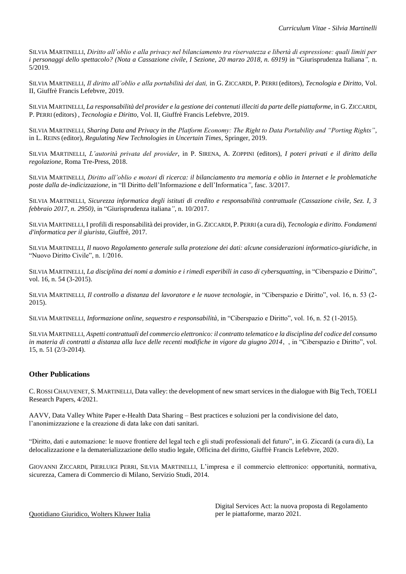SILVIA MARTINELLI, *Diritto all'oblio e alla privacy nel bilanciamento tra riservatezza e libertà di espressione: quali limiti per i personaggi dello spettacolo? (Nota a Cassazione civile, I Sezione, 20 marzo 2018, n. 6919)* in ["Giurisprudenza Italiana](https://shop.wki.it/periodici/giurisprudenza-italiana-s13674/)*",* n. 5/2019.

SILVIA MARTINELLI, *[Il diritto all'oblio e alla portabilità dei dati,](https://shop.giuffre.it/tecnologia-e-diritto-ii-informatica-giuridica.html)* in G. ZICCARDI, P. PERRI (editors), *Tecnologia e Diritto*, Vol. [II, Giuffrè Francis Lefebvre, 2019.](https://shop.giuffre.it/tecnologia-e-diritto-ii-informatica-giuridica.html)

SILVIA MARTINELLI, *La responsabilità del provider e la gestione dei contenuti illeciti da parte delle piattaforme*, in G. Z[ICCARDI](https://shop.giuffre.it/tecnologia-e-diritto-ii-informatica-giuridica.html), P. PERRI (editors) , *Tecnologia e Diritto*[, Vol. II, Giuffrè Francis Lefebvre, 2019.](https://shop.giuffre.it/tecnologia-e-diritto-ii-informatica-giuridica.html)

SILVIA MARTINELLI, *Sharing Data and Privacy in the Platform Economy: The Right to Data Portability and "Porting Rights"*, in L. REINS (editor), *[Regulating New Technologies in Uncertain Times](https://www.springer.com/us/book/9789462652781)*, Springer, 2019.

SILVIA MARTINELLI, *L'autorità privata del provider*, in P. SIRENA, A. ZOPPINI (editors), *[I poteri privati e il diritto della](http://romatrepress.uniroma3.it/ojs/index.php/poteri)  [regolazione](http://romatrepress.uniroma3.it/ojs/index.php/poteri)*, Roma Tre-Press, 2018.

SILVIA MARTINELLI, *Diritto all'oblio e motori di ricerca: il bilanciamento tra memoria e oblio in Internet e le problematiche poste dalla de-indicizzazione*[, in "Il Diritto dell'Informazione e dell'Informatica](https://shop.giuffre.it/il-diritto-dell-informazione-e-dell-informatica-14.html)*"*, fasc. 3/2017.

SILVIA MARTINELLI, *Sicurezza informatica degli istituti di credito e responsabilità contrattuale (Cassazione civile, Sez. I, 3 febbraio 2017, n. 2950)*, in ["Giurisprudenza italiana](https://shop.wki.it/periodici/giurisprudenza-italiana-s13674/)*"*, n. 10/2017.

SILVIA MARTINELLI, I profili di responsabilità dei provider, in G. ZICCARDI, P. PERRI (a cura di), *[Tecnologia e diritto. Fondamenti](https://shop.giuffre.it/catalog/product/view/id/77201/)  [d'informatica per il giurista](https://shop.giuffre.it/catalog/product/view/id/77201/)*, Giuffrè, 2017.

SILVIA MARTINELLI, *Il nuovo Regolamento generale sulla protezione dei dati: alcune considerazioni informatico-giuridiche*, in ["Nuovo Diritto Civile", n. 1/2016.](http://www.dikegiuridica.it/rivista.php?id=795)

SILVIA MARTINELLI, *La disciplina dei nomi a dominio e i rimedi esperibili in caso di cybersquatting*[, in "Ciberspazio e Diritto",](https://www.mucchieditore.it/index.php?option=com_virtuemart&view=productdetails&virtuemart_product_id=162&virtuemart_category_id=23&Itemid=127)  [vol. 16, n. 54 \(3-2015\).](https://www.mucchieditore.it/index.php?option=com_virtuemart&view=productdetails&virtuemart_product_id=162&virtuemart_category_id=23&Itemid=127)

SILVIA MARTINELLI, *Il controllo a distanza del lavoratore e le nuove tecnologie*, [in "Ciberspazio e Diritto", vol. 16, n. 53 \(2-](https://www.mucchieditore.it/index.php?option=com_virtuemart&view=productdetails&virtuemart_product_id=162&virtuemart_category_id=23&Itemid=127) [2015\).](https://www.mucchieditore.it/index.php?option=com_virtuemart&view=productdetails&virtuemart_product_id=162&virtuemart_category_id=23&Itemid=127)

SILVIA MARTINELLI, *Informazione online, sequestro e responsabilità*[, in "Ciberspazio e Diritto", vol. 16, n. 52 \(1-2015\).](https://www.mucchieditore.it/index.php?option=com_virtuemart&view=productdetails&virtuemart_product_id=162&virtuemart_category_id=23&Itemid=127)

SILVIA MARTINELLI, *[Aspetti contrattuali del commercio elettronico: il contratto telematico e la disciplina del codice del consumo](https://www.mucchieditore.it/index.php?option=com_virtuemart&view=productdetails&virtuemart_product_id=2055&virtuemart_category_id=95)  [in materia di contratti a distanza alla luce delle recenti modifiche in vigore da giugno 2014](https://www.mucchieditore.it/index.php?option=com_virtuemart&view=productdetails&virtuemart_product_id=2055&virtuemart_category_id=95)*, , in "Ciberspazio e Diritto", vol. [15, n. 51 \(2/3-2014\).](https://www.mucchieditore.it/index.php?option=com_virtuemart&view=productdetails&virtuemart_product_id=2055&virtuemart_category_id=95)

# **Other Publications**

C.ROSSI CHAUVENET, S. MARTINELLI[, Data valley: the development of new smart services in the dialogue with Big Tech, TOELI](https://osservatori.iuse.it/toeli/project/data-valley-the-development-of-new-smart-services-in-the-dialogue-with-big-tech-toeli-research-paper-4-2021/)  [Research Papers, 4/2021.](https://osservatori.iuse.it/toeli/project/data-valley-the-development-of-new-smart-services-in-the-dialogue-with-big-tech-toeli-research-paper-4-2021/)

AAVV, Data Valley White Paper e-Health Data Sharing – [Best practices e soluzioni per la condivisione del dato,](file:///G:/Il%20mio%20Drive/Silvia%20Drive%20Unito/Documenti/2021-2022/CV/Giornata%20di%20Studi%20a%20margine%20del)  [l'anonimizzazione e la creazione di data lake con dati](file:///G:/Il%20mio%20Drive/Silvia%20Drive%20Unito/Documenti/2021-2022/CV/Giornata%20di%20Studi%20a%20margine%20del) sanitari.

"Diritto, dati e automazione: le [nuove frontiere del legal tech e gli studi professionali del futuro", in G. Ziccardi \(a cura di\), La](https://shop.giuffre.it/delocalizzazione-e-dematerializzazione-dello-studio-legale.html)  [delocalizzazione e la dematerializzazione dello studio legale, Officina del diritto, Giuffrè Francis Lefebvre, 2020.](https://shop.giuffre.it/delocalizzazione-e-dematerializzazione-dello-studio-legale.html)

GIOVANNI ZICCARDI, PIERLUIGI PERRI, SILVIA MARTINELLI, L'impresa e il commercio elettronico: opportunità, normativa, sicurezza*,* Camera di Commercio di Milano, Servizio Studi, 2014.

Quotidiano Giuridico, Wolters Kluwer Italia

[Digital Services Act: la nuova proposta di Regolamento](https://www.quotidianogiuridico.it/documents/2021/03/22/digital-services-act-la-nuova-proposta-di-regolamento-per-le-piattaforme)  [per le piattaforme,](https://www.quotidianogiuridico.it/documents/2021/03/22/digital-services-act-la-nuova-proposta-di-regolamento-per-le-piattaforme) marzo 2021.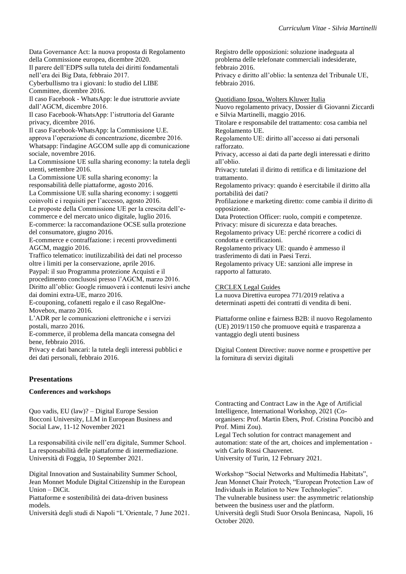[Data Governance Act: la nuova proposta di Regolamento](https://www.quotidianogiuridico.it/documents/2020/12/15/data-governance-act-la-nuova-proposta-di-regolamento-della-commissione-europea)  [della Commissione europea, dicembre 2020.](https://www.quotidianogiuridico.it/documents/2020/12/15/data-governance-act-la-nuova-proposta-di-regolamento-della-commissione-europea) [Il parere dell'EDPS sulla tutela dei diritti fondamentali](http://www.quotidianogiuridico.it/documents/2017/02/14/il-parere-dell-edps-sulla-tutela-dei-diritti-fondamentali-nell-era-dei-big-data)  [nell'era dei Big Data, febbraio 2017.](http://www.quotidianogiuridico.it/documents/2017/02/14/il-parere-dell-edps-sulla-tutela-dei-diritti-fondamentali-nell-era-dei-big-data) [Cyberbullismo tra i giovani: lo studio del LIBE](http://www.quotidianogiuridico.it/documents/2016/12/27/cyberbullismo-tra-i-giovani-lo-studio-del-libe-commitee)  [Committee, dicembre 2016.](http://www.quotidianogiuridico.it/documents/2016/12/27/cyberbullismo-tra-i-giovani-lo-studio-del-libe-commitee)  Il caso Facebook - [WhatsApp: le due istruttorie avviate](http://www.quotidianogiuridico.it/documents/2016/12/14/il-caso-facebook-whatsapp-le-due-istruttorie-avviate-dall-agcm)  [dall'AGCM, dicembre 2016.](http://www.quotidianogiuridico.it/documents/2016/12/14/il-caso-facebook-whatsapp-le-due-istruttorie-avviate-dall-agcm) [Il caso Facebook-WhatsApp: l'istruttoria del Garante](http://www.quotidianogiuridico.it/documents/2016/12/05/il-caso-facebook-whatsapp-l-istruttoria-del-garante-privacy)  [privacy, dicembre 2016.](http://www.quotidianogiuridico.it/documents/2016/12/05/il-caso-facebook-whatsapp-l-istruttoria-del-garante-privacy)  [Il caso Facebook-WhatsApp: la Commissione U.E.](http://www.quotidianogiuridico.it/documents/2016/12/06/il-caso-facebook-whatsapp-la-commissione-u-e-approva-l-operazione-di-concentrazione)  [approva l'operazione di concentrazione, dicembre 2016.](http://www.quotidianogiuridico.it/documents/2016/12/06/il-caso-facebook-whatsapp-la-commissione-u-e-approva-l-operazione-di-concentrazione) [Whatsapp: l'indagine AGCOM sulle app di comunicazione](http://www.quotidianogiuridico.it/documents/2016/11/15/whatsapp-l-indagine-agcom-sulle-app-di-comunicazione-sociale)  [sociale, novembre 2016.](http://www.quotidianogiuridico.it/documents/2016/11/15/whatsapp-l-indagine-agcom-sulle-app-di-comunicazione-sociale) [La Commissione UE sulla sharing economy: la tutela degli](http://www.quotidianogiuridico.it/documents/2016/09/12/la-commissione-ue-sulla-sharing-economy-la-tutela-degli-utenti)  [utenti, settembre 2016.](http://www.quotidianogiuridico.it/documents/2016/09/12/la-commissione-ue-sulla-sharing-economy-la-tutela-degli-utenti) [La Commissione UE sulla sharing economy: la](http://www.quotidianogiuridico.it/documents/2016/08/30/la-commissione-ue-sulla-sharing-economy-la-responsabilita-delle-piattaforme)  [responsabilità delle piattaforme, agosto 2016.](http://www.quotidianogiuridico.it/documents/2016/08/30/la-commissione-ue-sulla-sharing-economy-la-responsabilita-delle-piattaforme) [La Commissione UE sulla sharing economy: i soggetti](http://www.quotidianogiuridico.it/documents/2016/08/02/la-commissione-ue-sulla-sharing-economy-i-soggetti-coinvolti-e-i-requisiti-per-l-accesso)  [coinvolti e i requisiti per l'accesso, agosto 2016.](http://www.quotidianogiuridico.it/documents/2016/08/02/la-commissione-ue-sulla-sharing-economy-i-soggetti-coinvolti-e-i-requisiti-per-l-accesso) [Le proposte della Commissione UE per la crescita dell'e](http://www.quotidianogiuridico.it/documents/2016/07/19/le-proposte-della-commissione-ue-per-la-crescita-dell-e-commerce-e-del-mercato-unico-digitale)[commerce e del mercato unico digitale, luglio 2016.](http://www.quotidianogiuridico.it/documents/2016/07/19/le-proposte-della-commissione-ue-per-la-crescita-dell-e-commerce-e-del-mercato-unico-digitale) [E-commerce: la raccomandazione OCSE sulla protezione](http://www.quotidianogiuridico.it/documents/2016/06/14/e-commerce-la-raccomandazione-ocse-sulla-protezione-del-consumatore)  [del consumatore, giugno 2016.](http://www.quotidianogiuridico.it/documents/2016/06/14/e-commerce-la-raccomandazione-ocse-sulla-protezione-del-consumatore) [E-commerce e contraffazione: i recenti provvedimenti](http://www.quotidianogiuridico.it/documents/2016/05/10/e-commerce-e-contraffazione-i-recenti-provvedimenti-agcm)  [AGCM, maggio 2016.](http://www.quotidianogiuridico.it/documents/2016/05/10/e-commerce-e-contraffazione-i-recenti-provvedimenti-agcm) [Traffico telematico: inutilizzabilità dei dati nel processo](http://www.quotidianogiuridico.it/documents/2016/04/07/traffico-telematico-inutilizzabilita-dei-dati-nel-processo-oltre-i-limiti-per-la-conservazione)  [oltre i limiti per la conservazione, aprile 2016.](http://www.quotidianogiuridico.it/documents/2016/04/07/traffico-telematico-inutilizzabilita-dei-dati-nel-processo-oltre-i-limiti-per-la-conservazione) [Paypal: il suo Programma protezione Acquisti e il](http://www.quotidianogiuridico.it/documents/2016/03/29/paypal-il-suo-programma-protezione-acquisti-e-il-procedimento-conclusosi-presso-l-agcm)  [procedimento conclusosi presso](http://www.quotidianogiuridico.it/documents/2016/03/29/paypal-il-suo-programma-protezione-acquisti-e-il-procedimento-conclusosi-presso-l-agcm) l'AGCM, marzo 2016. [Diritto all'oblio: Google rimuoverà i contenuti lesivi anche](http://www.quotidianogiuridico.it/documents/2016/03/17/diritto-all-oblio-google-rimuovera-i-contenuti-lesivi-anche-dai-domini-extra-ue)  [dai domini extra-UE, marzo 2016.](http://www.quotidianogiuridico.it/documents/2016/03/17/diritto-all-oblio-google-rimuovera-i-contenuti-lesivi-anche-dai-domini-extra-ue) [E-couponing, cofanetti regalo e il caso RegalOne-](http://www.quotidianogiuridico.it/documents/2016/03/03/e-couponing-cofanetti-regalo-e-il-caso-regalone-movebox)[Movebox, marzo 2016.](http://www.quotidianogiuridico.it/documents/2016/03/03/e-couponing-cofanetti-regalo-e-il-caso-regalone-movebox) [L'ADR per le comunicazioni elettroniche e i servizi](http://www.quotidianogiuridico.it/documents/2016/03/01/l-adr-per-le-comunicazioni-elettroniche-e-i-servizi-postali)  [postali, marzo 2016.](http://www.quotidianogiuridico.it/documents/2016/03/01/l-adr-per-le-comunicazioni-elettroniche-e-i-servizi-postali) [E-commerce, il problema della mancata consegna del](http://www.quotidianogiuridico.it/documents/2016/02/19/e-commerce-il-problema-della-mancata-consegna-del-bene)  [bene, febbraio 2016.](http://www.quotidianogiuridico.it/documents/2016/02/19/e-commerce-il-problema-della-mancata-consegna-del-bene)

Privacy e [dati bancari: la tutela degli interessi pubblici e](http://www.quotidianogiuridico.it/documents/2016/02/03/privacy-e-dati-bancari-la-tutela-degli-interessi-pubblici-e-dei-dati-personali)  [dei dati personali, febbraio 2016.](http://www.quotidianogiuridico.it/documents/2016/02/03/privacy-e-dati-bancari-la-tutela-degli-interessi-pubblici-e-dei-dati-personali)

# **Presentations**

#### **Conferences and workshops**

Quo vadis, EU (law)? – Digital Europe Session Bocconi University, LLM in European Business and Social Law, 11-12 November 2021

[La responsabilità civile nell'era digitale, Summer School.](https://www.giurisprudenza.unifg.it/it/node/5211) [La responsabilità delle piattaforme di intermediazione.](https://www.giurisprudenza.unifg.it/it/node/5211)  [Università di Foggia, 10 September 2021.](https://www.giurisprudenza.unifg.it/it/node/5211)

[Digital Innovation and Sustainability Summer School,](http://www.jmdicitunior.eu/homesite/view_news/8/9/1/dicit-summer-school.html)  [Jean Monnet Module Digital Citizenship in the European](http://www.jmdicitunior.eu/homesite/view_news/8/9/1/dicit-summer-school.html)  [Union –](http://www.jmdicitunior.eu/homesite/view_news/8/9/1/dicit-summer-school.html) DiCit.

[Piattaforme e sostenibilità dei data-driven business](http://www.jmdicitunior.eu/homesite/view_news/8/9/1/dicit-summer-school.html)  [models.](http://www.jmdicitunior.eu/homesite/view_news/8/9/1/dicit-summer-school.html)

[Università degli studi di Napoli "L'Orientale, 7 June 2021.](http://www.jmdicitunior.eu/homesite/view_news/8/9/1/dicit-summer-school.html)

[Registro delle opposizioni: soluzione inadeguata al](http://www.quotidianogiuridico.it/documents/2016/01/29/registro-delle-opposizioni-soluzione-inadeguata-al-problema-delle-telefonate-commerciali-indesiderate)  [problema delle telefonate commerciali indesiderate,](http://www.quotidianogiuridico.it/documents/2016/01/29/registro-delle-opposizioni-soluzione-inadeguata-al-problema-delle-telefonate-commerciali-indesiderate)  [febbraio 2016.](http://www.quotidianogiuridico.it/documents/2016/01/29/registro-delle-opposizioni-soluzione-inadeguata-al-problema-delle-telefonate-commerciali-indesiderate) [Privacy e diritto all'oblio: la sentenza del Tribunale UE,](http://www.quotidianogiuridico.it/documents/2016/01/26/privacy-e-diritto-all-oblio-la-sentenza-del-tribunale-ue)  [febbraio 2016.](http://www.quotidianogiuridico.it/documents/2016/01/26/privacy-e-diritto-all-oblio-la-sentenza-del-tribunale-ue)

Quotidiano Ipsoa, Wolters Kluwer Italia

[Nuovo regolamento privacy, Dossier di Giovanni Ziccardi](http://www.ipsoa.it/dossier/nuovo-regolamento-privacy)  [e Silvia Martinelli, maggio 2016.](http://www.ipsoa.it/dossier/nuovo-regolamento-privacy)

[Titolare e responsabile del trattamento: cosa cambia nel](http://www.ipsoa.it/documents/lavoro-e-previdenza/amministrazione-del-personale/quotidiano/2016/05/14/titolare-e-responsabile-del-trattamento-cosa-cambia-nel-regolamento-ue)  [Regolamento UE.](http://www.ipsoa.it/documents/lavoro-e-previdenza/amministrazione-del-personale/quotidiano/2016/05/14/titolare-e-responsabile-del-trattamento-cosa-cambia-nel-regolamento-ue)

[Regolamento UE: diritto all'accesso ai dati personali](http://www.ipsoa.it/documents/lavoro-e-previdenza/professioni/quotidiano/2016/05/03/regolamento-ue-diritto-all-accesso-ai-dati-personali-rafforzato)  [rafforzato.](http://www.ipsoa.it/documents/lavoro-e-previdenza/professioni/quotidiano/2016/05/03/regolamento-ue-diritto-all-accesso-ai-dati-personali-rafforzato)

[Privacy, accesso ai dati da parte degli interessati e diritto](http://www.ipsoa.it/documents/lavoro-e-previdenza/professioni/quotidiano/2016/05/04/privacy-accesso-ai-dati-da-parte-degli-interessati-e-diritto-all-oblio)  [all'oblio.](http://www.ipsoa.it/documents/lavoro-e-previdenza/professioni/quotidiano/2016/05/04/privacy-accesso-ai-dati-da-parte-degli-interessati-e-diritto-all-oblio)

[Privacy: tutelati il diritto di rettifica e di limitazione del](http://www.ipsoa.it/documents/lavoro-e-previdenza/professioni/quotidiano/2016/05/05/privacy-tutelati-il-diritto-di-rettifica-e-di-limitazione-del-trattamento)  [trattamento.](http://www.ipsoa.it/documents/lavoro-e-previdenza/professioni/quotidiano/2016/05/05/privacy-tutelati-il-diritto-di-rettifica-e-di-limitazione-del-trattamento)

[Regolamento privacy: quando è esercitabile il diritto alla](http://www.ipsoa.it/documents/lavoro-e-previdenza/professioni/quotidiano/2016/05/06/regolamento-privacy-quando-e-esercitabile-il-diritto-alla-portabilita-dei-dati)  [portabilità dei dati?](http://www.ipsoa.it/documents/lavoro-e-previdenza/professioni/quotidiano/2016/05/06/regolamento-privacy-quando-e-esercitabile-il-diritto-alla-portabilita-dei-dati)

[Profilazione e marketing diretto: come cambia il diritto di](http://www.ipsoa.it/documents/lavoro-e-previdenza/professioni/quotidiano/2016/05/07/profilazione-e-marketing-diretto-come-cambia-il-diritto-di-opposizione)  [opposizione.](http://www.ipsoa.it/documents/lavoro-e-previdenza/professioni/quotidiano/2016/05/07/profilazione-e-marketing-diretto-come-cambia-il-diritto-di-opposizione)

[Data Protection Officer: ruolo, compiti e competenze.](http://www.ipsoa.it/documents/lavoro-e-previdenza/professioni/quotidiano/2016/05/16/data-protection-officer-ruolo-compiti-e-competenze) [Privacy: misure di sicurezza e data breaches.](http://www.ipsoa.it/documents/lavoro-e-previdenza/professioni/quotidiano/2016/05/17/privacy-misure-di-sicurezza-e-data-breaches)

[Regolamento privacy UE: perché ricorrere a codici di](http://www.ipsoa.it/documents/lavoro-e-previdenza/professioni/quotidiano/2016/05/18/regolamento-privacy-ue-perche-ricorrere-a-codici-di-condotta-e-certificazioni)  [condotta e certificazioni.](http://www.ipsoa.it/documents/lavoro-e-previdenza/professioni/quotidiano/2016/05/18/regolamento-privacy-ue-perche-ricorrere-a-codici-di-condotta-e-certificazioni)

[Regolamento privacy UE: quando è ammesso il](http://www.ipsoa.it/documents/lavoro-e-previdenza/amministrazione-del-personale/quotidiano/2016/05/19/regolamento-privacy-ue-quando-e-ammesso-il-trasferimento-di-dati-in-paesi-terzi) 

[trasferimento di dati in Paesi Terzi.](http://www.ipsoa.it/documents/lavoro-e-previdenza/amministrazione-del-personale/quotidiano/2016/05/19/regolamento-privacy-ue-quando-e-ammesso-il-trasferimento-di-dati-in-paesi-terzi) [Regolamento privacy UE: sanzioni alle imprese in](http://www.ipsoa.it/documents/lavoro-e-previdenza/professioni/quotidiano/2016/05/20/regolamento-privacy-ue-sanzioni-alle-imprese-in-rapporto-al-fatturato)  [rapporto al fatturato.](http://www.ipsoa.it/documents/lavoro-e-previdenza/professioni/quotidiano/2016/05/20/regolamento-privacy-ue-sanzioni-alle-imprese-in-rapporto-al-fatturato)

[CRCLEX Legal Guides](https://www.notion.so/CRCLEX-Risorse-legali-55362f2ef9f340ad86409a72313914bd)

La nuova Direttiva europea 771/2019 relativa a determinati aspetti dei contratti di vendita di beni.

Piattaforme online e fairness B2B: il nuovo Regolamento (UE) 2019/1150 che promuove equità e trasparenza a vantaggio degli utenti business

Digital Content Directive: nuove norme e prospettive per la fornitura di servizi digitali

[Contracting and Contract Law in the Age of Artificial](https://www.dg.unito.it/do/avvisi.pl/Show?_id=jduz)  [Intelligence, International Workshop, 2021 \(Co](https://www.dg.unito.it/do/avvisi.pl/Show?_id=jduz)[organisers: Prof. Martin Ebers, Prof. Cristina Poncibò and](https://www.dg.unito.it/do/avvisi.pl/Show?_id=jduz)  [Prof. Mimi Zou\).](https://www.dg.unito.it/do/avvisi.pl/Show?_id=jduz) [Legal Tech solution for contract management and](https://www.dg.unito.it/do/avvisi.pl/Show?_id=jduz)  [automation: state of the art, choices and implementation](https://www.dg.unito.it/do/avvisi.pl/Show?_id=jduz)  [with Carlo Rossi Chauvenet.](https://www.dg.unito.it/do/avvisi.pl/Show?_id=jduz)  [University of Turin, 12 February 2021.](https://www.dg.unito.it/do/avvisi.pl/Show?_id=jduz) 

[Workshop "Social Networks and Multimedia Habitats",](http://www.lupt.it/prossimi-eventi/social-networks-and-multimedia-habitats.html)  [Jean Monnet Chair Protech, "European Protection Law of](http://www.lupt.it/prossimi-eventi/social-networks-and-multimedia-habitats.html)  [Individuals in Relation to New Technologies".](http://www.lupt.it/prossimi-eventi/social-networks-and-multimedia-habitats.html) [The vulnerable business user: the asymmetric relationship](http://www.lupt.it/prossimi-eventi/social-networks-and-multimedia-habitats.html)  [between the business user and the platform.](http://www.lupt.it/prossimi-eventi/social-networks-and-multimedia-habitats.html) [Università degli Studi Suor Orsola Benincasa, Napoli, 16](http://www.lupt.it/prossimi-eventi/social-networks-and-multimedia-habitats.html)  [October 2020.](http://www.lupt.it/prossimi-eventi/social-networks-and-multimedia-habitats.html)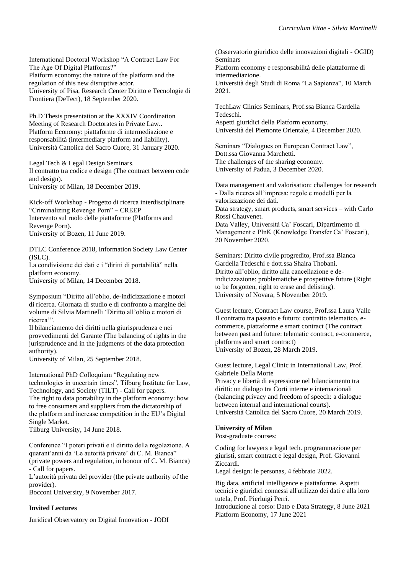[International Doctoral Workshop "A Contract Law For](https://www.civilistiitaliani.eu/images/eventi/2020_09/A_Contract_Law_for_the_Age_of_Digital_Platforms_18_settembre_2020.pdf)  [The Age Of Digital Platforms?"](https://www.civilistiitaliani.eu/images/eventi/2020_09/A_Contract_Law_for_the_Age_of_Digital_Platforms_18_settembre_2020.pdf) [Platform economy: the nature of the](https://www.civilistiitaliani.eu/images/eventi/2020_09/A_Contract_Law_for_the_Age_of_Digital_Platforms_18_settembre_2020.pdf) platform and the [regulation of this new disruptive actor.](https://www.civilistiitaliani.eu/images/eventi/2020_09/A_Contract_Law_for_the_Age_of_Digital_Platforms_18_settembre_2020.pdf) [University of Pisa, Research Center Diritto e Tecnologie di](https://www.civilistiitaliani.eu/images/eventi/2020_09/A_Contract_Law_for_the_Age_of_Digital_Platforms_18_settembre_2020.pdf)  [Frontiera \(DeTect\), 18 September 2020.](https://www.civilistiitaliani.eu/images/eventi/2020_09/A_Contract_Law_for_the_Age_of_Digital_Platforms_18_settembre_2020.pdf)

[Ph.D Thesis presentation at the XXXIV Coordination](http://www.dotpriv.it/files/milano.pdf)  [Meeting of Research Doctorates in Private Law..](http://www.dotpriv.it/files/milano.pdf) Platform Economy: piattaforme di intermediazione e responsabilità (intermediary platform and liability). Università Cattolica del Sacro Cuore, 31 January 2020.

[Legal Tech & Legal Design Seminars.](https://silviamartinellilaw.com/2019/11/24/lwgal-tech-legal-design-seminars/) [Il contratto tra codice e design \(The contract between code](https://silviamartinellilaw.com/2019/11/24/lwgal-tech-legal-design-seminars/)  [and design\).](https://silviamartinellilaw.com/2019/11/24/lwgal-tech-legal-design-seminars/) [University of Milan, 18 December 2019.](https://silviamartinellilaw.com/2019/11/24/lwgal-tech-legal-design-seminars/)

Kick-off Workshop - Progetto di ricerca interdisciplinare ["Criminalizing Revenge Porn" –](https://creep.projects.unibz.it/) CREEP Intervento sul ruolo delle piattaforme (Platforms and Revenge Porn). University of Bozen, 11 June 2019.

[DTLC Conference 2018, Information Society Law Center](http://islc.unimi.it/index.php/congress/)  [\(ISLC\).](http://islc.unimi.it/index.php/congress/)

La condivisione dei dati e i "diritti di portabilità" nella platform economy.

University of Milan, 14 December 2018.

Symposium ["Diritto all'oblio, de-indicizzazione e motori](https://silviamartinellilaw.com/2018/09/07/oblio-de-indicizzazione-e-motori-di-ricerca-il-25-settembre-giornata-di-studio-in-unimi/)  [di ricerca. Giornata di studio e di confronto a margine del](https://silviamartinellilaw.com/2018/09/07/oblio-de-indicizzazione-e-motori-di-ricerca-il-25-settembre-giornata-di-studio-in-unimi/)  [volume di Silvia Martinelli](https://silviamartinellilaw.com/2018/09/07/oblio-de-indicizzazione-e-motori-di-ricerca-il-25-settembre-giornata-di-studio-in-unimi/) 'Diritto all'oblio e motori di ricerca'".

Il bilanciamento dei diritti nella giurisprudenza e nei provvedimenti del Garante (The balancing of rights in the jurisprudence and in the judgments of the data protection authority).

University of Milan, 25 September 2018.

[International PhD Colloquium "Regulating new](https://www.tilburguniversity.edu/current/events/show/event-international-phd-colloquium-tilt/)  [technologies in uncertain times", Tilburg Institute for Law,](https://www.tilburguniversity.edu/current/events/show/event-international-phd-colloquium-tilt/)  [Technology, and Society \(TILT\) -](https://www.tilburguniversity.edu/current/events/show/event-international-phd-colloquium-tilt/) Call for papers. The right to data portability in the platform economy: how to free consumers and suppliers from the dictatorship of the platform and increase competition in the EU's Digital Single Market.

Tilburg University, 14 June 2018.

[Conference "I poteri privati e il diritto della regolazione. A](https://www.unibocconi.it/wps/wcm/connect/ev/Eventi/Eventi+Bocconi/I+POTERI+PRIVATI+E+IL+DIRITTO+DELLA+REGOLAZIONE)  [quarant'anni da 'Le autorità private' di C. M. Bianca"](https://www.unibocconi.it/wps/wcm/connect/ev/Eventi/Eventi+Bocconi/I+POTERI+PRIVATI+E+IL+DIRITTO+DELLA+REGOLAZIONE)  [\(private powers and regulation, in honour of C. M. Bianca\)](https://www.unibocconi.it/wps/wcm/connect/ev/Eventi/Eventi+Bocconi/I+POTERI+PRIVATI+E+IL+DIRITTO+DELLA+REGOLAZIONE)  - [Call for papers.](https://www.unibocconi.it/wps/wcm/connect/ev/Eventi/Eventi+Bocconi/I+POTERI+PRIVATI+E+IL+DIRITTO+DELLA+REGOLAZIONE)

L'autorità privata del provider (the private authority of the provider).

Bocconi University, 9 November 2017.

#### **Invited Lectures**

[Juridical Observatory on Digital Innovation -](https://web.uniroma1.it/deap/ogid) JODI

[\(Osservatorio giuridico delle innovazioni digitali -](https://web.uniroma1.it/deap/ogid) OGID) [Seminars](https://web.uniroma1.it/deap/ogid) 

[Platform economy e responsabilità delle piattaforme di](https://web.uniroma1.it/deap/ogid)  [intermediazione.](https://web.uniroma1.it/deap/ogid)

[Università degli Studi di Roma "La Sapienza", 10 March](https://web.uniroma1.it/deap/ogid) [2021.](https://web.uniroma1.it/deap/ogid)

[TechLaw Clinics Seminars, Prof.ssa Bianca Gardella](https://multiblog.uniupo.it/eventi/conferenze-e-seminari/al-il-cliclo-di-seminari-di-techlaw-clinics)  [Tedeschi.](https://multiblog.uniupo.it/eventi/conferenze-e-seminari/al-il-cliclo-di-seminari-di-techlaw-clinics) 

[Aspetti giuridici della Platform economy.](https://multiblog.uniupo.it/eventi/conferenze-e-seminari/al-il-cliclo-di-seminari-di-techlaw-clinics) [Università del Piemonte Orientale, 4 December 2020.](https://multiblog.uniupo.it/eventi/conferenze-e-seminari/al-il-cliclo-di-seminari-di-techlaw-clinics)

[Seminars "Dialogues on European Contract Law",](https://giurisprudenza.unipd.it/dialogues-european-contract-law)  [Dott.ssa Giovanna Marchetti.](https://giurisprudenza.unipd.it/dialogues-european-contract-law) [The challenges of the sharing economy.](https://giurisprudenza.unipd.it/dialogues-european-contract-law) [University of Padua, 3 December 2020.](https://giurisprudenza.unipd.it/dialogues-european-contract-law)

[Data management and valorisation: challenges for research](https://www.data-valley.it/2020/12/03/data-management-and-valorisation-challenges-for-research/)  - [Dalla ricerca all'impresa: regole e modelli per la](https://www.data-valley.it/2020/12/03/data-management-and-valorisation-challenges-for-research/)  [valorizzazione dei dati.](https://www.data-valley.it/2020/12/03/data-management-and-valorisation-challenges-for-research/) [Data strategy, smart products, smart services –](https://www.data-valley.it/2020/12/03/data-management-and-valorisation-challenges-for-research/) with Carlo [Rossi Chauvenet.](https://www.data-valley.it/2020/12/03/data-management-and-valorisation-challenges-for-research/)  [Data Valley, Università Ca'](https://www.data-valley.it/2020/12/03/data-management-and-valorisation-challenges-for-research/) Foscari, Dipartimento di [Management e PInK \(Knowledge Transfer Ca' Foscari\),](https://www.data-valley.it/2020/12/03/data-management-and-valorisation-challenges-for-research/)  [20 November](https://www.data-valley.it/2020/12/03/data-management-and-valorisation-challenges-for-research/) 2020.

[Seminars: Diritto civile progredito, Prof.ssa](https://www.dir.uniupo.it/enrol/index.php?id=9016) Bianca [Gardella Tedeschi e dott.ssa Shaira Thobani.](https://www.dir.uniupo.it/enrol/index.php?id=9016)  [Diritto all'oblio, diritto alla cancellazione e de](https://www.dir.uniupo.it/enrol/index.php?id=9016)[indicizzazione: problematiche e prospettive](https://www.dir.uniupo.it/enrol/index.php?id=9016) future (Right [to be forgotten, right to erase and delisting\).](https://www.dir.uniupo.it/enrol/index.php?id=9016) University of Novara, 5 November 2019.

[Guest lecture, Contract Law course, Prof.ssa Laura Valle](https://www.unibz.it/it/faculties/economics-management/academic-staff/person/11518-laura-valle) [Il contratto tra passato e futuro: contratto telematico, e](https://www.unibz.it/it/faculties/economics-management/academic-staff/person/11518-laura-valle)[commerce, piattaforme e smart contract \(The contract](https://www.unibz.it/it/faculties/economics-management/academic-staff/person/11518-laura-valle)  [between past and future: telematic contract, e-commerce,](https://www.unibz.it/it/faculties/economics-management/academic-staff/person/11518-laura-valle)  [platforms and smart contract\)](https://www.unibz.it/it/faculties/economics-management/academic-staff/person/11518-laura-valle) [University of Bozen, 28 March](https://www.unibz.it/it/faculties/economics-management/academic-staff/person/11518-laura-valle) 2019.

[Guest lecture, Legal Clinic in International Law, Prof.](https://www.google.com/url?sa=t&rct=j&q=&esrc=s&source=web&cd=2&ved=2ahUKEwjp3-vC8sjmAhUECuwKHRiNCWoQFjABegQIAhAC&url=https%3A%2F%2Fmilano.unicatt.it%2Fevents-20.03.2019_Privacy_e_liberta_di_espressione_nel_bilanciamento_tra_diritti.pdf&usg=AOvVaw1db9YgsK68nCq9ptogChVw)  [Gabriele Della Morte](https://www.google.com/url?sa=t&rct=j&q=&esrc=s&source=web&cd=2&ved=2ahUKEwjp3-vC8sjmAhUECuwKHRiNCWoQFjABegQIAhAC&url=https%3A%2F%2Fmilano.unicatt.it%2Fevents-20.03.2019_Privacy_e_liberta_di_espressione_nel_bilanciamento_tra_diritti.pdf&usg=AOvVaw1db9YgsK68nCq9ptogChVw) [Privacy e libertà di espressione nel bilanciamento tra](https://www.google.com/url?sa=t&rct=j&q=&esrc=s&source=web&cd=2&ved=2ahUKEwjp3-vC8sjmAhUECuwKHRiNCWoQFjABegQIAhAC&url=https%3A%2F%2Fmilano.unicatt.it%2Fevents-20.03.2019_Privacy_e_liberta_di_espressione_nel_bilanciamento_tra_diritti.pdf&usg=AOvVaw1db9YgsK68nCq9ptogChVw) 

[diritti: un dialogo tra Corti interne e internazionali](https://www.google.com/url?sa=t&rct=j&q=&esrc=s&source=web&cd=2&ved=2ahUKEwjp3-vC8sjmAhUECuwKHRiNCWoQFjABegQIAhAC&url=https%3A%2F%2Fmilano.unicatt.it%2Fevents-20.03.2019_Privacy_e_liberta_di_espressione_nel_bilanciamento_tra_diritti.pdf&usg=AOvVaw1db9YgsK68nCq9ptogChVw)  [\(balancing privacy and freedom of speech: a dialogue](https://www.google.com/url?sa=t&rct=j&q=&esrc=s&source=web&cd=2&ved=2ahUKEwjp3-vC8sjmAhUECuwKHRiNCWoQFjABegQIAhAC&url=https%3A%2F%2Fmilano.unicatt.it%2Fevents-20.03.2019_Privacy_e_liberta_di_espressione_nel_bilanciamento_tra_diritti.pdf&usg=AOvVaw1db9YgsK68nCq9ptogChVw)  [between internal and international courts\).](https://www.google.com/url?sa=t&rct=j&q=&esrc=s&source=web&cd=2&ved=2ahUKEwjp3-vC8sjmAhUECuwKHRiNCWoQFjABegQIAhAC&url=https%3A%2F%2Fmilano.unicatt.it%2Fevents-20.03.2019_Privacy_e_liberta_di_espressione_nel_bilanciamento_tra_diritti.pdf&usg=AOvVaw1db9YgsK68nCq9ptogChVw) [Università Cattolica del Sacro Cuore, 20 March 2019.](https://www.google.com/url?sa=t&rct=j&q=&esrc=s&source=web&cd=2&ved=2ahUKEwjp3-vC8sjmAhUECuwKHRiNCWoQFjABegQIAhAC&url=https%3A%2F%2Fmilano.unicatt.it%2Fevents-20.03.2019_Privacy_e_liberta_di_espressione_nel_bilanciamento_tra_diritti.pdf&usg=AOvVaw1db9YgsK68nCq9ptogChVw)

#### **University of Milan**

Post-graduate courses:

[Coding for lawyers e legal tech. programmazione per](https://www.unimi.it/it/corsi/corsi-post-laurea/master-e-perfezionamento/catalogo-corsi-di-perfezionamento/aa-2021/2022-coding-lawyers-e-legal-tech-programmazione-giuristi-smart-contract-e-legal-design-gz8)  [giuristi, smart contract e legal design, Prof. Giovanni](https://www.unimi.it/it/corsi/corsi-post-laurea/master-e-perfezionamento/catalogo-corsi-di-perfezionamento/aa-2021/2022-coding-lawyers-e-legal-tech-programmazione-giuristi-smart-contract-e-legal-design-gz8)  [Ziccardi.](https://www.unimi.it/it/corsi/corsi-post-laurea/master-e-perfezionamento/catalogo-corsi-di-perfezionamento/aa-2021/2022-coding-lawyers-e-legal-tech-programmazione-giuristi-smart-contract-e-legal-design-gz8)

Legal design: le personas, 4 febbraio 2022.

[Big data, artificial intelligence e piattaforme. Aspetti](https://www.unimi.it/it/corsi/corsi-post-laurea/master-e-perfezionamento/catalogo-corsi-di-perfezionamento/aa-2020/2021-big-data-artificial-intelligence-e-piattaforme-aspetti-tecnici-e-giuridici-connessi-allutilizzo-dei)  [tecnici e giuridici connessi all'utilizzo dei dati e alla loro](https://www.unimi.it/it/corsi/corsi-post-laurea/master-e-perfezionamento/catalogo-corsi-di-perfezionamento/aa-2020/2021-big-data-artificial-intelligence-e-piattaforme-aspetti-tecnici-e-giuridici-connessi-allutilizzo-dei)  [tutela, Prof. Pierluigi Perri.](https://www.unimi.it/it/corsi/corsi-post-laurea/master-e-perfezionamento/catalogo-corsi-di-perfezionamento/aa-2020/2021-big-data-artificial-intelligence-e-piattaforme-aspetti-tecnici-e-giuridici-connessi-allutilizzo-dei)

Introduzione al corso: Dato e Data Strategy, 8 June 2021 Platform Economy, 17 June 2021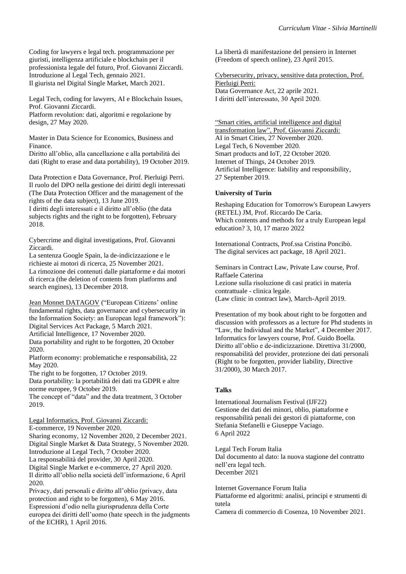[Coding for lawyers e legal tech. programmazione per](https://www.unimi.it/it/corsi/corsi-post-laurea/master-e-perfezionamento/catalogo-corsi-di-perfezionamento/aa-2020/2021-coding-lawyers-e-legal-tech-programmazione-giuristi-intelligenza-artificiale-e-blockchain-il)  [giuristi, intelligenza artificiale e blockchain per il](https://www.unimi.it/it/corsi/corsi-post-laurea/master-e-perfezionamento/catalogo-corsi-di-perfezionamento/aa-2020/2021-coding-lawyers-e-legal-tech-programmazione-giuristi-intelligenza-artificiale-e-blockchain-il)  [professionista legale del futuro, Prof. Giovanni Ziccardi.](https://www.unimi.it/it/corsi/corsi-post-laurea/master-e-perfezionamento/catalogo-corsi-di-perfezionamento/aa-2020/2021-coding-lawyers-e-legal-tech-programmazione-giuristi-intelligenza-artificiale-e-blockchain-il)  [Introduzione al Legal Tech, gennaio 2021.](https://www.unimi.it/it/corsi/corsi-post-laurea/master-e-perfezionamento/catalogo-corsi-di-perfezionamento/aa-2020/2021-coding-lawyers-e-legal-tech-programmazione-giuristi-intelligenza-artificiale-e-blockchain-il)  [Il giurista nel Digital Single Market, March](https://www.unimi.it/it/corsi/corsi-post-laurea/master-e-perfezionamento/catalogo-corsi-di-perfezionamento/aa-2020/2021-coding-lawyers-e-legal-tech-programmazione-giuristi-intelligenza-artificiale-e-blockchain-il) 2021.

[Legal Tech, coding for lawyers, AI e Blockchain Issues,](https://www.unimi.it/it/corsi/corsi-post-laurea/master-e-perfezionamento/catalogo-corsi-di-perfezionamento/aa-2019/2020-legal-tech-coding-lawyers-artificial-intelligence-and-blockchain-legal-issues-decostruire-e)  Prof. Giovanni Ziccardi.

Platform revolution: dati, algoritmi e regolazione by design, 27 May 2020.

[Master in Data Science for Economics, Business and](https://datasciencelab.unimi.it/index.php/master-in-data-science-for-economics-business-and-finance/)  [Finance.](https://datasciencelab.unimi.it/index.php/master-in-data-science-for-economics-business-and-finance/)

Diritto all'oblio, alla cancellazione e alla portabilità dei dati (Right to erase and data portability), 19 October 2019.

[Data Protection e Data Governance,](http://datagovernance.unimi.it/) Prof. Pierluigi Perri. Il ruolo del DPO nella gestione dei diritti degli interessati (The Data Protection Officer and the management of the rights of the data subject), 13 June 2019. I diritti degli interessati e il diritto all'oblio (the data subjects rights and the right to be forgotten), February

2018.

[Cybercrime and digital investigations, Prof. Giovanni](http://users2.unimi.it/forensics/)  [Ziccardi.](http://users2.unimi.it/forensics/)

La sentenza Google Spain, la de-indicizzazione e le richieste ai motori di ricerca, 25 November 2021. [La rimozione dei contenuti dalle piattaforme e dai motori](https://www.academia.edu/38566425/La_rimozione_dei_contenuti_dalle_piattaforme_e_dai_motori_di_ricerca)  [di ricerca \(the deletion of contents from platforms and](https://www.academia.edu/38566425/La_rimozione_dei_contenuti_dalle_piattaforme_e_dai_motori_di_ricerca)  [search engines\), 13 December 2018.](https://www.academia.edu/38566425/La_rimozione_dei_contenuti_dalle_piattaforme_e_dai_motori_di_ricerca)

Jean Monnet DATAGOV [\("European Citizens' online](https://sites.unimi.it/eudatagov/)  [fundamental rights, data governance and cybersecurity in](https://sites.unimi.it/eudatagov/)  [the Information Society: an European legal framework"\):](https://sites.unimi.it/eudatagov/) Digital Services Act Package, 5 March 2021.

Artificial Intelligence, 17 November 2020.

Data portability and right to be forgotten, 20 October 2020.

Platform economy: problematiche e responsabilità, 22 May 2020.

The right to be forgotten, 17 October 2019. [Data portability: la portabilità dei dati tra GDPR e altre](https://www.academia.edu/41028766/Data_Portability)  [norme europee,](https://www.academia.edu/41028766/Data_Portability) 9 October 2019.

The concept of "data" and the data treatment, 3 October 2019.

Legal Informatics, Prof. Giovanni Ziccardi: E-commerce, 19 November 2020.

Sharing economy, 12 November 2020, 2 December 2021. Digital Single Market & Data Strategy, 5 November 2020. Introduzione al Legal Tech, 7 October 2020.

La responsabilità del provider, 30 April 2020.

Digital Single Market e e-commerce, 27 April 2020. Il diritto all'oblio nella società dell'informazione, 6 April 2020.

Privacy, dati personali e diritto all'oblio (privacy, data protection and right to be forgotten), 6 May 2016. Espressioni d'odio nella giurisprudenza della Corte europea dei diritti dell'uomo (hate speech in the judgments of the ECHR), 1 April 2016.

La libertà di manifestazione del pensiero in Internet (Freedom of speech online), 23 April 2015.

Cybersecurity, privacy, sensitive data protection, Prof. Pierluigi Perri: Data Governance Act, 22 aprile 2021. I diritti dell'interessato, 30 April 2020.

["Smart cities, artificial intelligence and digital](https://www.unimi.it/it/corsi/insegnamenti-dei-corsi-di-laurea/smart-cities-artificial-intelligence-and-digital-transformation-law)  [transformation law"](https://www.unimi.it/it/corsi/insegnamenti-dei-corsi-di-laurea/smart-cities-artificial-intelligence-and-digital-transformation-law), Prof. Giovanni Ziccardi: AI in Smart Cities, 27 November 2020. Legal Tech, 6 November 2020. Smart products and IoT, 22 October 2020. Internet of Things, 24 October 2019. Artificial Intelligence: liability and responsibility, 27 September 2019.

### **University of Turin**

[Reshaping Education for Tomorrow's European Lawyers](https://www.giurisprudenza.unito.it/do/home.pl/View?doc=/jean_monnet_actions/jma.html)  [\(RETEL\) JM, Prof. Riccardo De Caria.](https://www.giurisprudenza.unito.it/do/home.pl/View?doc=/jean_monnet_actions/jma.html) [Which contents and methods for a truly European legal](https://www.giurisprudenza.unito.it/do/home.pl/View?doc=/jean_monnet_actions/jma.html)  [education? 3, 10, 17 marzo 2022](https://www.giurisprudenza.unito.it/do/home.pl/View?doc=/jean_monnet_actions/jma.html)

International Contracts, Prof.ssa Cristina Poncibò. The digital services act package, 18 April 2021.

Seminars in Contract Law, Private Law course, Prof. Raffaele Caterina Lezione sulla risoluzione di casi pratici in materia contrattuale - clinica legale. (Law clinic in contract law), March-April 2019.

[Presentation of my book about right to be forgotten and](http://whttp/www.dirittopersonamercatophd.unito.it/do/avvisi.pl/Show?_id=yv1a)  [discussion with professors as a lecture for Phd students in](http://whttp/www.dirittopersonamercatophd.unito.it/do/avvisi.pl/Show?_id=yv1a)  ["Law, the Individual and the Market", 4 December](http://whttp/www.dirittopersonamercatophd.unito.it/do/avvisi.pl/Show?_id=yv1a) 2017. Informatics for lawyers course, Prof. Guido Boella. Diritto all'oblio e de-indicizzazione. Direttiva 31/2000, responsabilità del provider, protezione dei dati personali (Right to be forgotten, provider liability, Directive 31/2000), 30 March 2017.

# **Talks**

[International Journalism Festival \(IJF22\)](https://www.festivaldelgiornalismo.com/programme/2022/management-of-childrens-data-oblivion-platforms-and-criminal-liability-of-platform-operators) [Gestione dei dati dei minori, oblio, piattaforme e](https://www.festivaldelgiornalismo.com/programme/2022/management-of-childrens-data-oblivion-platforms-and-criminal-liability-of-platform-operators)  [responsabilità penali dei gestori di piattaforme, con](https://www.festivaldelgiornalismo.com/programme/2022/management-of-childrens-data-oblivion-platforms-and-criminal-liability-of-platform-operators)  [Stefania Stefanelli e Giuseppe Vaciago.](https://www.festivaldelgiornalismo.com/programme/2022/management-of-childrens-data-oblivion-platforms-and-criminal-liability-of-platform-operators)  [6 April 2022](https://www.festivaldelgiornalismo.com/programme/2022/management-of-childrens-data-oblivion-platforms-and-criminal-liability-of-platform-operators)

Legal Tech Forum Italia Dal documento al dato: la nuova stagione del contratto nell'era legal tech. December 2021

[Internet Governance Forum Italia](https://www.cs.camcom.gov.it/it/content/service/programma-igf-italia-2021-0)  [Piattaforme ed algoritmi: analisi, principi e strumenti di](https://www.cs.camcom.gov.it/it/content/service/programma-igf-italia-2021-0)  [tutela](https://www.cs.camcom.gov.it/it/content/service/programma-igf-italia-2021-0)

[Camera di commercio di Cosenza, 10 November 2021.](https://www.cs.camcom.gov.it/it/content/service/programma-igf-italia-2021-0)